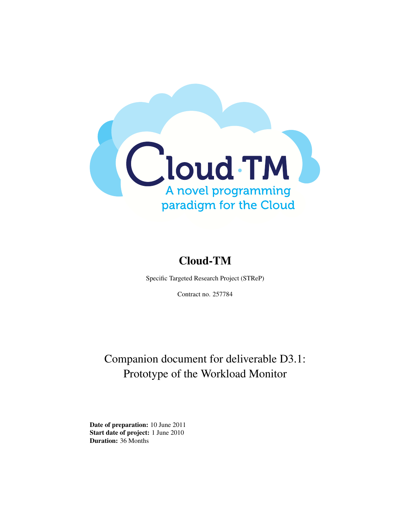

# Cloud-TM

Specific Targeted Research Project (STReP)

Contract no. 257784

Companion document for deliverable D3.1: Prototype of the Workload Monitor

Date of preparation: 10 June 2011 Start date of project: 1 June 2010 Duration: 36 Months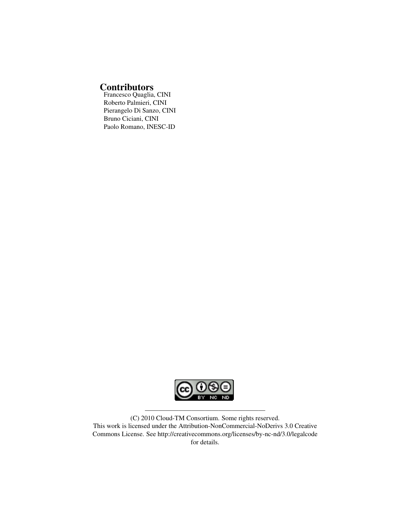### **Contributors**

Francesco Quaglia, CINI Roberto Palmieri, CINI Pierangelo Di Sanzo, CINI Bruno Ciciani, CINI Paolo Romano, INESC-ID



(C) 2010 Cloud-TM Consortium. Some rights reserved. This work is licensed under the Attribution-NonCommercial-NoDerivs 3.0 Creative Commons License. See http://creativecommons.org/licenses/by-nc-nd/3.0/legalcode for details.

——————————————————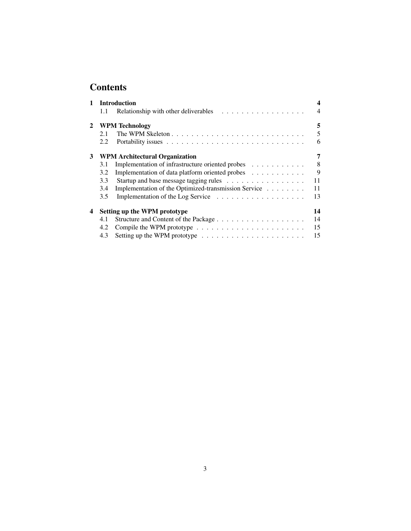# **Contents**

| $\mathbf{1}$ | <b>Introduction</b>                   |                                                      |    |  |
|--------------|---------------------------------------|------------------------------------------------------|----|--|
|              | 1.1                                   |                                                      | 4  |  |
| $\mathbf{2}$ | <b>WPM Technology</b>                 |                                                      | 5  |  |
|              | 2.1                                   |                                                      | 5  |  |
|              | 2.2                                   |                                                      | 6  |  |
| 3            | <b>WPM Architectural Organization</b> |                                                      | 7  |  |
|              | 3.1                                   | Implementation of infrastructure oriented probes     | 8  |  |
|              | 3.2                                   | Implementation of data platform oriented probes      | 9  |  |
|              | 3.3                                   | Startup and base message tagging rules               | 11 |  |
|              | 3.4                                   | Implementation of the Optimized-transmission Service | 11 |  |
|              | 3.5                                   |                                                      | 13 |  |
| 4            | Setting up the WPM prototype          |                                                      | 14 |  |
|              | 4.1                                   |                                                      | 14 |  |
|              | 4.2                                   |                                                      | 15 |  |
|              | 4.3                                   |                                                      | 15 |  |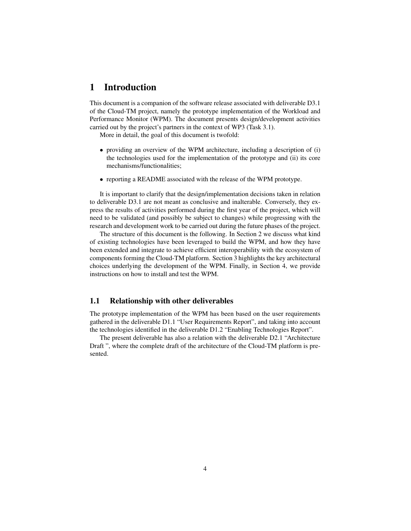## 1 Introduction

This document is a companion of the software release associated with deliverable D3.1 of the Cloud-TM project, namely the prototype implementation of the Workload and Performance Monitor (WPM). The document presents design/development activities carried out by the project's partners in the context of WP3 (Task 3.1).

More in detail, the goal of this document is twofold:

- providing an overview of the WPM architecture, including a description of (i) the technologies used for the implementation of the prototype and (ii) its core mechanisms/functionalities;
- reporting a README associated with the release of the WPM prototype.

It is important to clarify that the design/implementation decisions taken in relation to deliverable D3.1 are not meant as conclusive and inalterable. Conversely, they express the results of activities performed during the first year of the project, which will need to be validated (and possibly be subject to changes) while progressing with the research and development work to be carried out during the future phases of the project.

The structure of this document is the following. In Section 2 we discuss what kind of existing technologies have been leveraged to build the WPM, and how they have been extended and integrate to achieve efficient interoperability with the ecosystem of components forming the Cloud-TM platform. Section 3 highlights the key architectural choices underlying the development of the WPM. Finally, in Section 4, we provide instructions on how to install and test the WPM.

#### 1.1 Relationship with other deliverables

The prototype implementation of the WPM has been based on the user requirements gathered in the deliverable D1.1 "User Requirements Report", and taking into account the technologies identified in the deliverable D1.2 "Enabling Technologies Report".

The present deliverable has also a relation with the deliverable D2.1 "Architecture Draft ", where the complete draft of the architecture of the Cloud-TM platform is presented.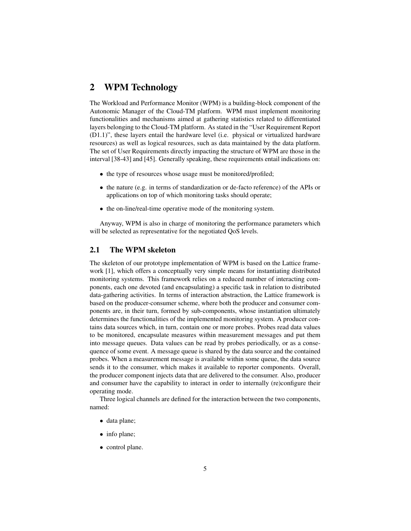## 2 WPM Technology

The Workload and Performance Monitor (WPM) is a building-block component of the Autonomic Manager of the Cloud-TM platform. WPM must implement monitoring functionalities and mechanisms aimed at gathering statistics related to differentiated layers belonging to the Cloud-TM platform. As stated in the "User Requirement Report (D1.1)", these layers entail the hardware level (i.e. physical or virtualized hardware resources) as well as logical resources, such as data maintained by the data platform. The set of User Requirements directly impacting the structure of WPM are those in the interval [38-43] and [45]. Generally speaking, these requirements entail indications on:

- the type of resources whose usage must be monitored/profiled;
- the nature (e.g. in terms of standardization or de-facto reference) of the APIs or applications on top of which monitoring tasks should operate;
- the on-line/real-time operative mode of the monitoring system.

Anyway, WPM is also in charge of monitoring the performance parameters which will be selected as representative for the negotiated QoS levels.

#### 2.1 The WPM skeleton

The skeleton of our prototype implementation of WPM is based on the Lattice framework [1], which offers a conceptually very simple means for instantiating distributed monitoring systems. This framework relies on a reduced number of interacting components, each one devoted (and encapsulating) a specific task in relation to distributed data-gathering activities. In terms of interaction abstraction, the Lattice framework is based on the producer-consumer scheme, where both the producer and consumer components are, in their turn, formed by sub-components, whose instantiation ultimately determines the functionalities of the implemented monitoring system. A producer contains data sources which, in turn, contain one or more probes. Probes read data values to be monitored, encapsulate measures within measurement messages and put them into message queues. Data values can be read by probes periodically, or as a consequence of some event. A message queue is shared by the data source and the contained probes. When a measurement message is available within some queue, the data source sends it to the consumer, which makes it available to reporter components. Overall, the producer component injects data that are delivered to the consumer. Also, producer and consumer have the capability to interact in order to internally (re)configure their operating mode.

Three logical channels are defined for the interaction between the two components, named:

- data plane;
- info plane;
- control plane.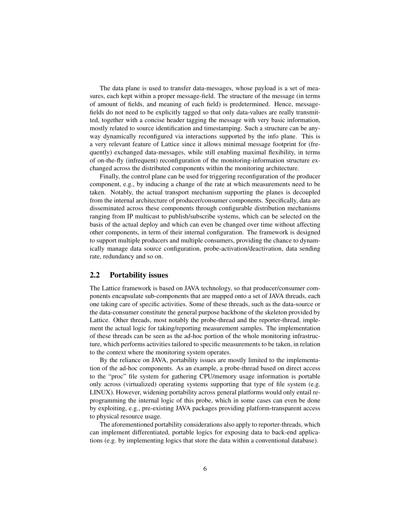The data plane is used to transfer data-messages, whose payload is a set of measures, each kept within a proper message-field. The structure of the message (in terms of amount of fields, and meaning of each field) is predetermined. Hence, messagefields do not need to be explicitly tagged so that only data-values are really transmitted, together with a concise header tagging the message with very basic information, mostly related to source identification and timestamping. Such a structure can be anyway dynamically reconfigured via interactions supported by the info plane. This is a very relevant feature of Lattice since it allows minimal message footprint for (frequently) exchanged data-messages, while still enabling maximal flexibility, in terms of on-the-fly (infrequent) reconfiguration of the monitoring-information structure exchanged across the distributed components within the monitoring architecture.

Finally, the control plane can be used for triggering reconfiguration of the producer component, e.g., by inducing a change of the rate at which measurements need to be taken. Notably, the actual transport mechanism supporting the planes is decoupled from the internal architecture of producer/consumer components. Specifically, data are disseminated across these components through configurable distribution mechanisms ranging from IP multicast to publish/subscribe systems, which can be selected on the basis of the actual deploy and which can even be changed over time without affecting other components, in term of their internal configuration. The framework is designed to support multiple producers and multiple consumers, providing the chance to dynamically manage data source configuration, probe-activation/deactivation, data sending rate, redundancy and so on.

#### 2.2 Portability issues

The Lattice framework is based on JAVA technology, so that producer/consumer components encapsulate sub-components that are mapped onto a set of JAVA threads, each one taking care of specific activities. Some of these threads, such as the data-source or the data-consumer constitute the general purpose backbone of the skeleton provided by Lattice. Other threads, most notably the probe-thread and the reporter-thread, implement the actual logic for taking/reporting measurement samples. The implementation of these threads can be seen as the ad-hoc portion of the whole monitoring infrastructure, which performs activities tailored to specific measurements to be taken, in relation to the context where the monitoring system operates.

By the reliance on JAVA, portability issues are mostly limited to the implementation of the ad-hoc components. As an example, a probe-thread based on direct access to the "proc" file system for gathering CPU/memory usage information is portable only across (virtualized) operating systems supporting that type of file system (e.g. LINUX). However, widening portability across general platforms would only entail reprogramming the internal logic of this probe, which in some cases can even be done by exploiting, e.g., pre-existing JAVA packages providing platform-transparent access to physical resource usage.

The aforementioned portability considerations also apply to reporter-threads, which can implement differentiated, portable logics for exposing data to back-end applications (e.g. by implementing logics that store the data within a conventional database).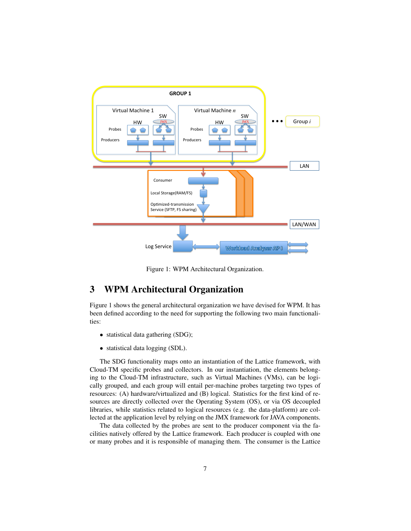

Figure 1: WPM Architectural Organization.

# 3 WPM Architectural Organization

Figure 1 shows the general architectural organization we have devised for WPM. It has been defined according to the need for supporting the following two main functionalities:

- statistical data gathering (SDG);
- statistical data logging (SDL).

The SDG functionality maps onto an instantiation of the Lattice framework, with Cloud-TM specific probes and collectors. In our instantiation, the elements belonging to the Cloud-TM infrastructure, such as Virtual Machines (VMs), can be logically grouped, and each group will entail per-machine probes targeting two types of resources: (A) hardware/virtualized and (B) logical. Statistics for the first kind of resources are directly collected over the Operating System (OS), or via OS decoupled libraries, while statistics related to logical resources (e.g. the data-platform) are collected at the application level by relying on the JMX framework for JAVA components.

The data collected by the probes are sent to the producer component via the facilities natively offered by the Lattice framework. Each producer is coupled with one or many probes and it is responsible of managing them. The consumer is the Lattice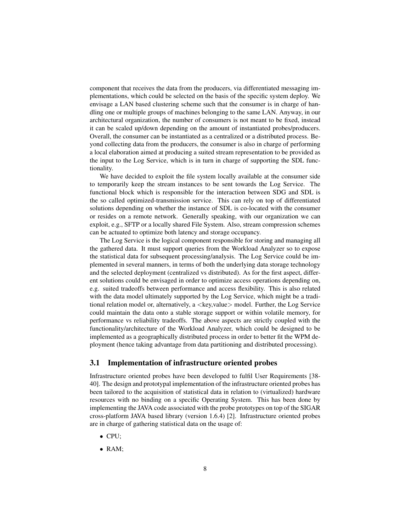component that receives the data from the producers, via differentiated messaging implementations, which could be selected on the basis of the specific system deploy. We envisage a LAN based clustering scheme such that the consumer is in charge of handling one or multiple groups of machines belonging to the same LAN. Anyway, in our architectural organization, the number of consumers is not meant to be fixed, instead it can be scaled up/down depending on the amount of instantiated probes/producers. Overall, the consumer can be instantiated as a centralized or a distributed process. Beyond collecting data from the producers, the consumer is also in charge of performing a local elaboration aimed at producing a suited stream representation to be provided as the input to the Log Service, which is in turn in charge of supporting the SDL functionality.

We have decided to exploit the file system locally available at the consumer side to temporarily keep the stream instances to be sent towards the Log Service. The functional block which is responsible for the interaction between SDG and SDL is the so called optimized-transmission service. This can rely on top of differentiated solutions depending on whether the instance of SDL is co-located with the consumer or resides on a remote network. Generally speaking, with our organization we can exploit, e.g., SFTP or a locally shared File System. Also, stream compression schemes can be actuated to optimize both latency and storage occupancy.

The Log Service is the logical component responsible for storing and managing all the gathered data. It must support queries from the Workload Analyzer so to expose the statistical data for subsequent processing/analysis. The Log Service could be implemented in several manners, in terms of both the underlying data storage technology and the selected deployment (centralized vs distributed). As for the first aspect, different solutions could be envisaged in order to optimize access operations depending on, e.g. suited tradeoffs between performance and access flexibility. This is also related with the data model ultimately supported by the Log Service, which might be a traditional relation model or, alternatively,  $a \leq k$ ey, value $>$  model. Further, the Log Service could maintain the data onto a stable storage support or within volatile memory, for performance vs reliability tradeoffs. The above aspects are strictly coupled with the functionality/architecture of the Workload Analyzer, which could be designed to be implemented as a geographically distributed process in order to better fit the WPM deployment (hence taking advantage from data partitioning and distributed processing).

#### 3.1 Implementation of infrastructure oriented probes

Infrastructure oriented probes have been developed to fulfil User Requirements [38- 40]. The design and prototypal implementation of the infrastructure oriented probes has been tailored to the acquisition of statistical data in relation to (virtualized) hardware resources with no binding on a specific Operating System. This has been done by implementing the JAVA code associated with the probe prototypes on top of the SIGAR cross-platform JAVA based library (version 1.6.4) [2]. Infrastructure oriented probes are in charge of gathering statistical data on the usage of:

- CPU;
- RAM;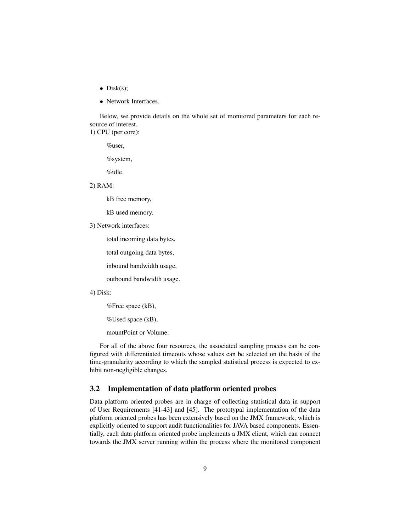- $\bullet$  Disk(s);
- Network Interfaces.

Below, we provide details on the whole set of monitored parameters for each resource of interest.

1) CPU (per core):

%user,

%system,

%idle.

2) RAM:

kB free memory,

kB used memory.

3) Network interfaces:

total incoming data bytes,

total outgoing data bytes,

inbound bandwidth usage,

outbound bandwidth usage.

#### 4) Disk:

%Free space (kB),

%Used space (kB),

mountPoint or Volume.

For all of the above four resources, the associated sampling process can be configured with differentiated timeouts whose values can be selected on the basis of the time-granularity according to which the sampled statistical process is expected to exhibit non-negligible changes.

#### 3.2 Implementation of data platform oriented probes

Data platform oriented probes are in charge of collecting statistical data in support of User Requirements [41-43] and [45]. The prototypal implementation of the data platform oriented probes has been extensively based on the JMX framework, which is explicitly oriented to support audit functionalities for JAVA based components. Essentially, each data platform oriented probe implements a JMX client, which can connect towards the JMX server running within the process where the monitored component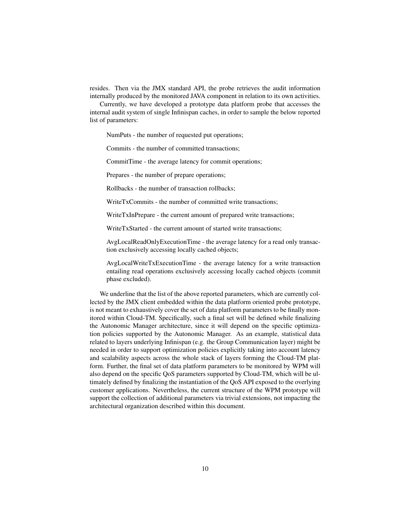resides. Then via the JMX standard API, the probe retrieves the audit information internally produced by the monitored JAVA component in relation to its own activities.

Currently, we have developed a prototype data platform probe that accesses the internal audit system of single Infinispan caches, in order to sample the below reported list of parameters:

NumPuts - the number of requested put operations;

Commits - the number of committed transactions;

CommitTime - the average latency for commit operations;

Prepares - the number of prepare operations;

Rollbacks - the number of transaction rollbacks;

WriteTxCommits - the number of committed write transactions;

WriteTxInPrepare - the current amount of prepared write transactions;

WriteTxStarted - the current amount of started write transactions;

AvgLocalReadOnlyExecutionTime - the average latency for a read only transaction exclusively accessing locally cached objects;

AvgLocalWriteTxExecutionTime - the average latency for a write transaction entailing read operations exclusively accessing locally cached objects (commit phase excluded).

We underline that the list of the above reported parameters, which are currently collected by the JMX client embedded within the data platform oriented probe prototype, is not meant to exhaustively cover the set of data platform parameters to be finally monitored within Cloud-TM. Specifically, such a final set will be defined while finalizing the Autonomic Manager architecture, since it will depend on the specific optimization policies supported by the Autonomic Manager. As an example, statistical data related to layers underlying Infinispan (e.g. the Group Communication layer) might be needed in order to support optimization policies explicitly taking into account latency and scalability aspects across the whole stack of layers forming the Cloud-TM platform. Further, the final set of data platform parameters to be monitored by WPM will also depend on the specific QoS parameters supported by Cloud-TM, which will be ultimately defined by finalizing the instantiation of the QoS API exposed to the overlying customer applications. Nevertheless, the current structure of the WPM prototype will support the collection of additional parameters via trivial extensions, not impacting the architectural organization described within this document.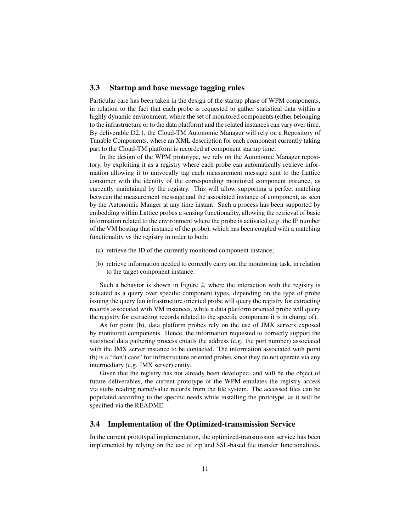#### 3.3 Startup and base message tagging rules

Particular care has been taken in the design of the startup phase of WPM components, in relation to the fact that each probe is requested to gather statistical data within a highly dynamic environment, where the set of monitored components (either belonging to the infrastructure or to the data platform) and the related instances can vary over time. By deliverable D2.1, the Cloud-TM Autonomic Manager will rely on a Repository of Tunable Components, where an XML description for each component currently taking part to the Cloud-TM platform is recorded at component startup time.

In the design of the WPM prototype, we rely on the Autonomic Manager repository, by exploiting it as a registry where each probe can automatically retrieve information allowing it to univocally tag each measurement message sent to the Lattice consumer with the identity of the corresponding monitored component instance, as currently maintained by the registry. This will allow supporting a perfect matching between the measurement message and the associated instance of component, as seen by the Autonomic Manger at any time instant. Such a process has been supported by embedding within Lattice probes a sensing functionality, allowing the retrieval of basic information related to the environment where the probe is activated (e.g. the IP number of the VM hosting that instance of the probe), which has been coupled with a matching functionality vs the registry in order to both:

- (a) retrieve the ID of the currently monitored component instance;
- (b) retrieve information needed to correctly carry out the monitoring task, in relation to the target component instance.

Such a behavior is shown in Figure 2, where the interaction with the registry is actuated as a query over specific component types, depending on the type of probe issuing the query (an infrastructure oriented probe will query the registry for extracting records associated with VM instances, while a data platform oriented probe will query the registry for extracting records related to the specific component it is in charge of).

As for point (b), data platform probes rely on the use of JMX servers exposed by monitored components. Hence, the information requested to correctly support the statistical data gathering process entails the address (e.g. the port number) associated with the JMX server instance to be contacted. The information associated with point (b) is a "don't care" for infrastructure oriented probes since they do not operate via any intermediary (e.g. JMX server) entity.

Given that the registry has not already been developed, and will be the object of future deliverables, the current prototype of the WPM emulates the registry access via stubs reading name/value records from the file system. The accessed files can be populated according to the specific needs while installing the prototype, as it will be specified via the README.

#### 3.4 Implementation of the Optimized-transmission Service

In the current prototypal implementation, the optimized-transmission service has been implemented by relying on the use of zip and SSL-based file transfer functionalities.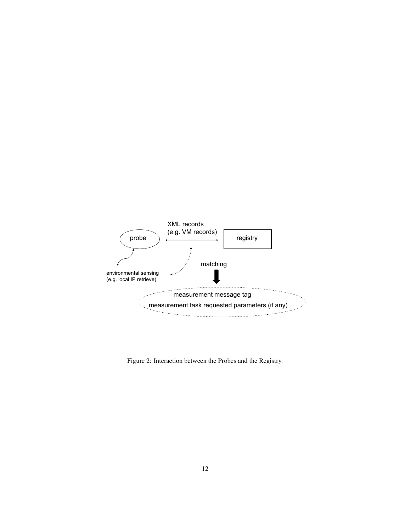

Figure 2: Interaction between the Probes and the Registry.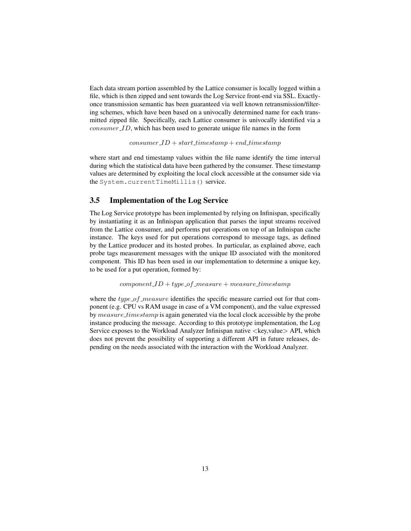Each data stream portion assembled by the Lattice consumer is locally logged within a file, which is then zipped and sent towards the Log Service front-end via SSL. Exactlyonce transmission semantic has been guaranteed via well known retransmission/filtering schemes, which have been based on a univocally determined name for each transmitted zipped file. Specifically, each Lattice consumer is univocally identified via a consumer ID, which has been used to generate unique file names in the form

 $\cos$ umer  $ID + start\_timestamp + end\_timestamp$ 

where start and end timestamp values within the file name identify the time interval during which the statistical data have been gathered by the consumer. These timestamp values are determined by exploiting the local clock accessible at the consumer side via the System.currentTimeMillis() service.

#### 3.5 Implementation of the Log Service

The Log Service prototype has been implemented by relying on Infinispan, specifically by instantiating it as an Infinispan application that parses the input streams received from the Lattice consumer, and performs put operations on top of an Infinispan cache instance. The keys used for put operations correspond to message tags, as defined by the Lattice producer and its hosted probes. In particular, as explained above, each probe tags measurement messages with the unique ID associated with the monitored component. This ID has been used in our implementation to determine a unique key, to be used for a put operation, formed by:

```
component\_ID + type\_of\_measure + measure\_timestamp
```
where the  $type\_of\_measure$  identifies the specific measure carried out for that component (e.g. CPU vs RAM usage in case of a VM component), and the value expressed by measure timestamp is again generated via the local clock accessible by the probe instance producing the message. According to this prototype implementation, the Log Service exposes to the Workload Analyzer Infinispan native <key, value> API, which does not prevent the possibility of supporting a different API in future releases, depending on the needs associated with the interaction with the Workload Analyzer.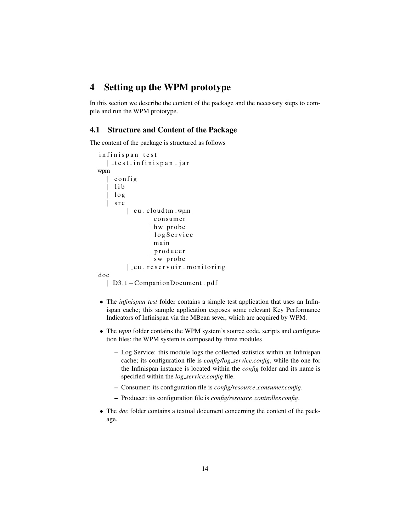## 4 Setting up the WPM prototype

In this section we describe the content of the package and the necessary steps to compile and run the WPM prototype.

#### 4.1 Structure and Content of the Package

The content of the package is structured as follows

```
infinispan_test
   | _test_infinispan.jar
wpm
   | _c on f i g
    -l i b
     \log\vert s r c
          | \texttt{e}u . cloudtm . wpm
                 \vert _consumer
                  -hw -probe
                   | l o g S e r v i c e
                   | mai n
                   | p r o d u c e r
                  \vert _s w _probe
          | eu. res erv oir. monitoring
doc
   | D3.1−CompanionDocument . p d f
```
- The *infinispan test* folder contains a simple test application that uses an Infinispan cache; this sample application exposes some relevant Key Performance Indicators of Infinispan via the MBean sever, which are acquired by WPM.
- The *wpm* folder contains the WPM system's source code, scripts and configuration files; the WPM system is composed by three modules
	- Log Service: this module logs the collected statistics within an Infinispan cache; its configuration file is *config/log service.config*, while the one for the Infinispan instance is located within the *config* folder and its name is specified within the *log service.config* file.
	- Consumer: its configuration file is *config/resource consumer.config*.
	- Producer: its configuration file is *config/resource controller.config*.
- The *doc* folder contains a textual document concerning the content of the package.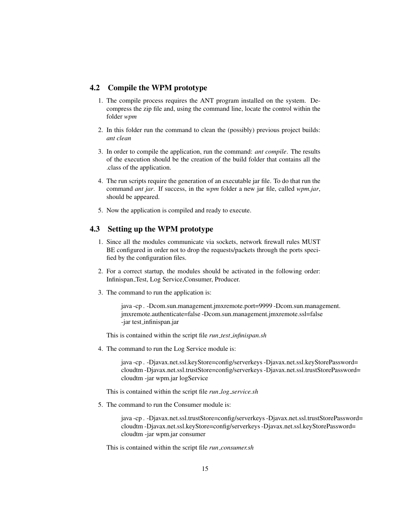#### 4.2 Compile the WPM prototype

- 1. The compile process requires the ANT program installed on the system. Decompress the zip file and, using the command line, locate the control within the folder *wpm*
- 2. In this folder run the command to clean the (possibly) previous project builds: *ant clean*
- 3. In order to compile the application, run the command: *ant compile*. The results of the execution should be the creation of the build folder that contains all the .class of the application.
- 4. The run scripts require the generation of an executable jar file. To do that run the command *ant jar*. If success, in the *wpm* folder a new jar file, called *wpm.jar*, should be appeared.
- 5. Now the application is compiled and ready to execute.

#### 4.3 Setting up the WPM prototype

- 1. Since all the modules communicate via sockets, network firewall rules MUST BE configured in order not to drop the requests/packets through the ports specified by the configuration files.
- 2. For a correct startup, the modules should be activated in the following order: Infinispan Test, Log Service,Consumer, Producer.
- 3. The command to run the application is:

java -cp . -Dcom.sun.management.jmxremote.port=9999 -Dcom.sun.management. jmxremote.authenticate=false -Dcom.sun.management.jmxremote.ssl=false -jar test infinispan.jar

This is contained within the script file *run test infinispan.sh*

4. The command to run the Log Service module is:

java -cp . -Djavax.net.ssl.keyStore=config/serverkeys -Djavax.net.ssl.keyStorePassword= cloudtm -Djavax.net.ssl.trustStore=config/serverkeys -Djavax.net.ssl.trustStorePassword= cloudtm -jar wpm.jar logService

This is contained within the script file *run log service.sh*

5. The command to run the Consumer module is:

java -cp . -Djavax.net.ssl.trustStore=config/serverkeys -Djavax.net.ssl.trustStorePassword= cloudtm -Djavax.net.ssl.keyStore=config/serverkeys -Djavax.net.ssl.keyStorePassword= cloudtm -jar wpm.jar consumer

This is contained within the script file *run consumer.sh*